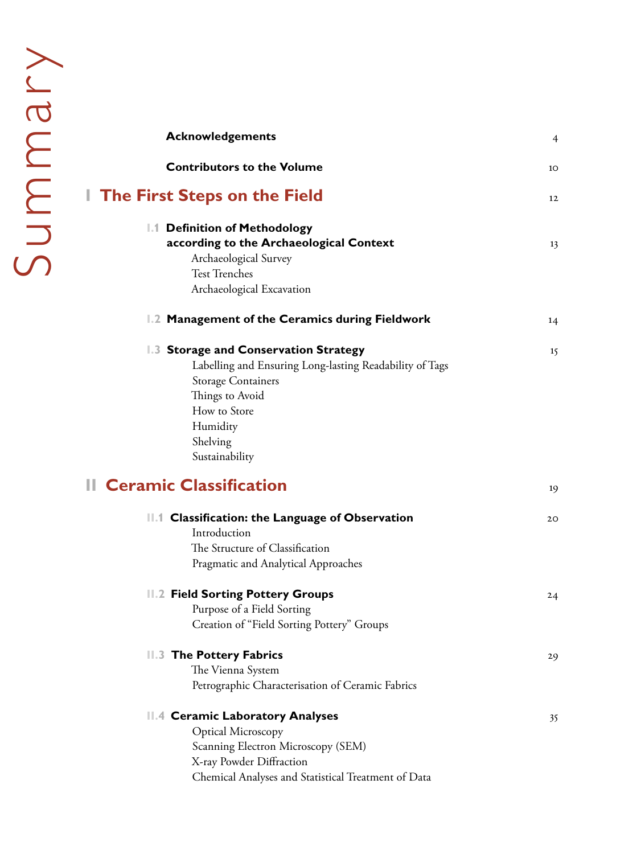| <b>Acknowledgements</b>                                                                                                                                                                                    | $\overline{4}$ |
|------------------------------------------------------------------------------------------------------------------------------------------------------------------------------------------------------------|----------------|
| <b>Contributors to the Volume</b>                                                                                                                                                                          | 10             |
| <b>The First Steps on the Field</b>                                                                                                                                                                        | 12             |
| 1.1 Definition of Methodology<br>according to the Archaeological Context<br>Archaeological Survey<br><b>Test Trenches</b>                                                                                  | 13             |
| Archaeological Excavation                                                                                                                                                                                  |                |
| 1.2 Management of the Ceramics during Fieldwork                                                                                                                                                            | 14             |
| 1.3 Storage and Conservation Strategy<br>Labelling and Ensuring Long-lasting Readability of Tags<br><b>Storage Containers</b><br>Things to Avoid<br>How to Store<br>Humidity<br>Shelving<br>Sustainability | 15             |
| <b>Il Ceramic Classification</b>                                                                                                                                                                           | 19             |
| 11.1 Classification: the Language of Observation<br>Introduction<br>The Structure of Classification<br>Pragmatic and Analytical Approaches                                                                 | 20             |
| <b>II.2 Field Sorting Pottery Groups</b><br>Purpose of a Field Sorting<br>Creation of "Field Sorting Pottery" Groups                                                                                       | 24             |
| <b>II.3 The Pottery Fabrics</b><br>The Vienna System<br>Petrographic Characterisation of Ceramic Fabrics                                                                                                   | 29             |
| <b>Ceramic Laboratory Analyses</b><br>$\mathsf{H}.4$<br><b>Optical Microscopy</b><br>Scanning Electron Microscopy (SEM)<br>X-ray Powder Diffraction<br>Chemical Analyses and Statistical Treatment of Data | 35             |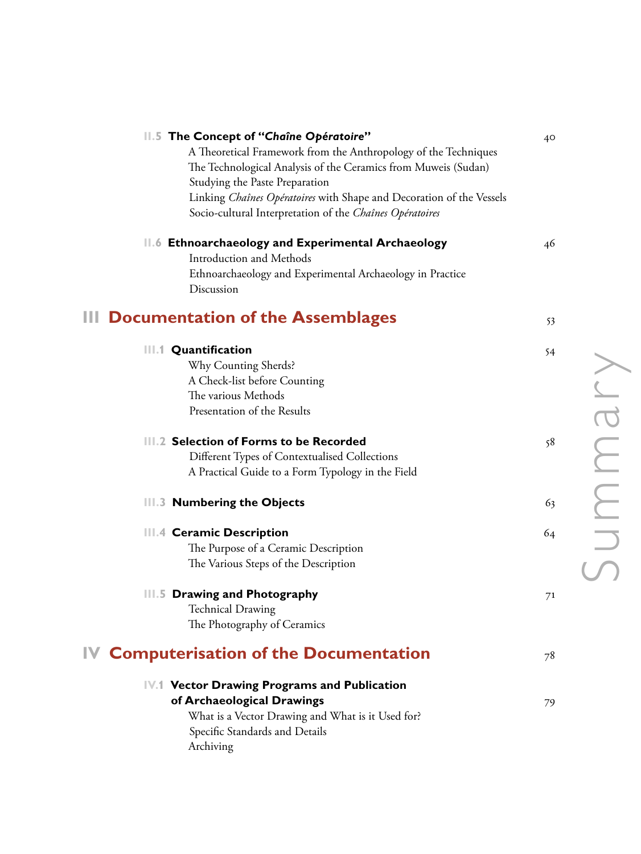| 11.5 The Concept of "Chaîne Opératoire"<br>A Theoretical Framework from the Anthropology of the Techniques<br>The Technological Analysis of the Ceramics from Muweis (Sudan)<br>Studying the Paste Preparation<br>Linking Chaînes Opératoires with Shape and Decoration of the Vessels<br>Socio-cultural Interpretation of the Chaînes Opératoires | $40^{\circ}$ |
|----------------------------------------------------------------------------------------------------------------------------------------------------------------------------------------------------------------------------------------------------------------------------------------------------------------------------------------------------|--------------|
| 11.6 Ethnoarchaeology and Experimental Archaeology<br><b>Introduction and Methods</b><br>Ethnoarchaeology and Experimental Archaeology in Practice<br>Discussion                                                                                                                                                                                   | 46           |
| <b>Documentation of the Assemblages</b>                                                                                                                                                                                                                                                                                                            | 53           |
| <b>III.1 Quantification</b><br>Why Counting Sherds?<br>A Check-list before Counting<br>The various Methods<br>Presentation of the Results                                                                                                                                                                                                          | 54           |
| III.2 Selection of Forms to be Recorded<br>Different Types of Contextualised Collections<br>A Practical Guide to a Form Typology in the Field                                                                                                                                                                                                      | 58           |
| III.3 Numbering the Objects                                                                                                                                                                                                                                                                                                                        | 63           |
| III.4 Ceramic Description<br>The Purpose of a Ceramic Description<br>The Various Steps of the Description                                                                                                                                                                                                                                          | 64           |
| III.5 Drawing and Photography<br><b>Technical Drawing</b><br>The Photography of Ceramics                                                                                                                                                                                                                                                           | 71           |
| <b>Computerisation of the Documentation</b>                                                                                                                                                                                                                                                                                                        | 78           |
| IV.1 Vector Drawing Programs and Publication<br>of Archaeological Drawings<br>What is a Vector Drawing and What is it Used for?<br>Specific Standards and Details<br>Archiving                                                                                                                                                                     | 79           |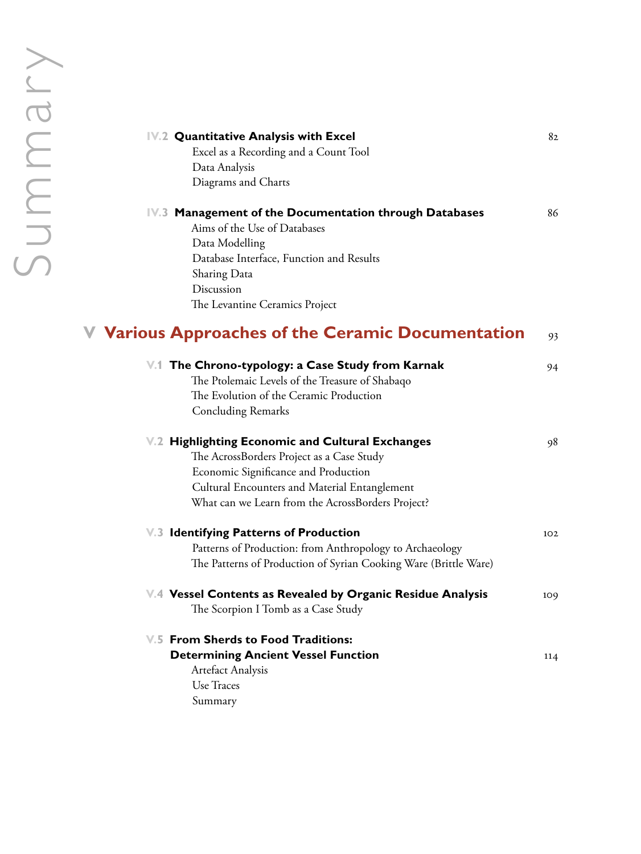| IV.2 Quantitative Analysis with Excel<br>Excel as a Recording and a Count Tool<br>Data Analysis<br>Diagrams and Charts                                                                                                                      | 82  |
|---------------------------------------------------------------------------------------------------------------------------------------------------------------------------------------------------------------------------------------------|-----|
| IV.3 Management of the Documentation through Databases<br>Aims of the Use of Databases<br>Data Modelling<br>Database Interface, Function and Results<br>Sharing Data<br>Discussion<br>The Levantine Ceramics Project                        | 86  |
| <b>V</b> Various Approaches of the Ceramic Documentation                                                                                                                                                                                    | 93  |
| V.1 The Chrono-typology: a Case Study from Karnak<br>The Ptolemaic Levels of the Treasure of Shabaqo<br>The Evolution of the Ceramic Production<br><b>Concluding Remarks</b>                                                                | 94  |
| V.2 Highlighting Economic and Cultural Exchanges<br>The AcrossBorders Project as a Case Study<br>Economic Significance and Production<br>Cultural Encounters and Material Entanglement<br>What can we Learn from the AcrossBorders Project? | 98  |
| V.3 Identifying Patterns of Production<br>Patterns of Production: from Anthropology to Archaeology<br>The Patterns of Production of Syrian Cooking Ware (Brittle Ware)                                                                      | 102 |
| V.4 Vessel Contents as Revealed by Organic Residue Analysis<br>The Scorpion I Tomb as a Case Study                                                                                                                                          | 109 |
| <b>V.5 From Sherds to Food Traditions:</b><br><b>Determining Ancient Vessel Function</b><br><b>Artefact Analysis</b><br>Use Traces<br>Summary                                                                                               | 114 |